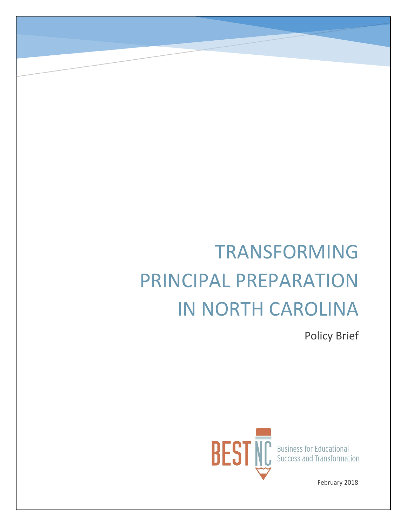# TRANSFORMING PRINCIPAL PREPARATION IN NORTH CAROLINA

Policy Brief



February 2018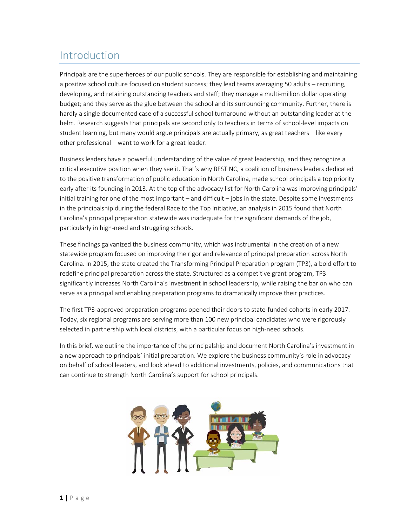# Introduction

Principals are the superheroes of our public schools. They are responsible for establishing and maintaining a positive school culture focused on student success; they lead teams averaging 50 adults – recruiting, developing, and retaining outstanding teachers and staff; they manage a multi-million dollar operating budget; and they serve as the glue between the school and its surrounding community. Further, there is hardly a single documented case of a successful school turnaround without an outstanding leader at the helm. Research suggests that principals are second only to teachers in terms of school-level impacts on student learning, but many would argue principals are actually primary, as great teachers – like every other professional – want to work for a great leader.

Business leaders have a powerful understanding of the value of great leadership, and they recognize a critical executive position when they see it. That's why BEST NC, a coalition of business leaders dedicated to the positive transformation of public education in North Carolina, made school principals a top priority early after its founding in 2013. At the top of the advocacy list for North Carolina was improving principals' initial training for one of the most important – and difficult – jobs in the state. Despite some investments in the principalship during the federal Race to the Top initiative, an analysis in 2015 found that North Carolina's principal preparation statewide was inadequate for the significant demands of the job, particularly in high-need and struggling schools.

These findings galvanized the business community, which was instrumental in the creation of a new statewide program focused on improving the rigor and relevance of principal preparation across North Carolina. In 2015, the state created the Transforming Principal Preparation program (TP3), a bold effort to redefine principal preparation across the state. Structured as a competitive grant program, TP3 significantly increases North Carolina's investment in school leadership, while raising the bar on who can serve as a principal and enabling preparation programs to dramatically improve their practices.

The first TP3-approved preparation programs opened their doors to state-funded cohorts in early 2017. Today, six regional programs are serving more than 100 new principal candidates who were rigorously selected in partnership with local districts, with a particular focus on high-need schools.

In this brief, we outline the importance of the principalship and document North Carolina's investment in a new approach to principals' initial preparation. We explore the business community's role in advocacy on behalf of school leaders, and look ahead to additional investments, policies, and communications that can continue to strength North Carolina's support for school principals.

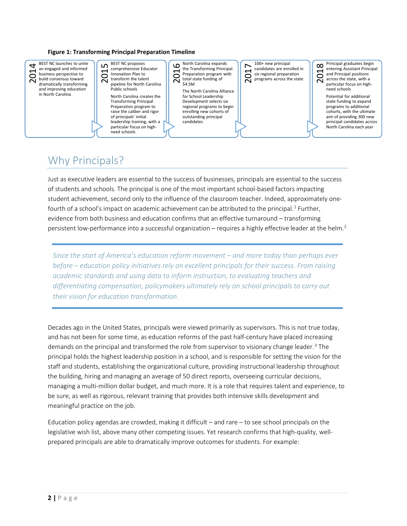#### **Figure 1: Transforming Principal Preparation Timeline**



### Why Principals?

Just as executive leaders are essential to the success of businesses, principals are essential to the success of students and schools. The principal is one of the most important school-based factors impacting student achievement, second only to the influence of the classroom teacher. Indeed, approximately one-fourth of a school's impact on academic achievement can be attributed to the principal.<sup>[1](#page-11-0)</sup> Further, evidence from both business and education confirms that an effective turnaround – transforming persistent low-performance into a successful organization – requires a highly effective leader at the helm.<sup>[2](#page-11-1)</sup>

*Since the start of America's education reform movement – and more today than perhaps ever before – education policy initiatives rely on excellent principals for their success. From raising academic standards and using data to inform instruction, to evaluating teachers and differentiating compensation, policymakers ultimately rely on school principals to carry out their vision for education transformation.* 

Decades ago in the United States, principals were viewed primarily as supervisors. This is not true today, and has not been for some time, as education reforms of the past half-century have placed increasing demands on the principal and transformed the role from supervisor to visionary change leader.<sup>[3](#page-11-2)</sup> The principal holds the highest leadership position in a school, and is responsible for setting the vision for the staff and students, establishing the organizational culture, providing instructional leadership throughout the building, hiring and managing an average of 50 direct reports, overseeing curricular decisions, managing a multi-million dollar budget, and much more. It is a role that requires talent and experience, to be sure, as well as rigorous, relevant training that provides both intensive skills development and meaningful practice on the job.

Education policy agendas are crowded, making it difficult – and rare – to see school principals on the legislative wish list, above many other competing issues. Yet research confirms that high-quality, wellprepared principals are able to dramatically improve outcomes for students. For example: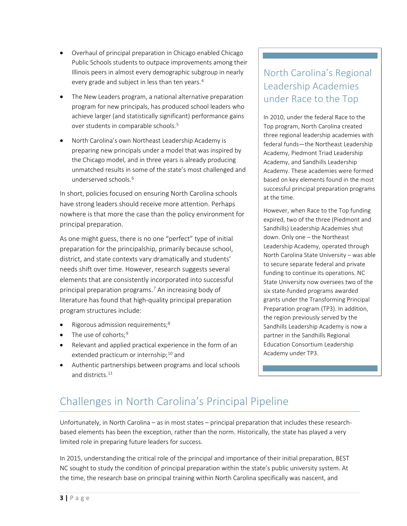- Overhaul of principal preparation in Chicago enabled Chicago Public Schools students to outpace improvements among their Illinois peers in almost every demographic subgroup in nearly every grade and subject in less than ten years.<sup>[4](#page-11-3)</sup>
- The New Leaders program, a national alternative preparation program for new principals, has produced school leaders who achieve larger (and statistically significant) performance gains over students in comparable schools.<sup>[5](#page-11-4)</sup>
- North Carolina's own Northeast Leadership Academy is preparing new principals under a model that was inspired by the Chicago model, and in three years is already producing unmatched results in some of the state's most challenged and underserved schools.<sup>[6](#page-11-5)</sup>

In short, policies focused on ensuring North Carolina schools have strong leaders should receive more attention. Perhaps nowhere is that more the case than the policy environment for principal preparation.

As one might guess, there is no one "perfect" type of initial preparation for the principalship, primarily because school, district, and state contexts vary dramatically and students' needs shift over time. However, research suggests several elements that are consistently incorporated into successful principal preparation programs.<sup>[7](#page-11-6)</sup> An increasing body of literature has found that high-quality principal preparation program structures include:

- $\bullet$  Rigorous admission requirements;<sup>[8](#page-11-7)</sup>
- The use of cohorts;<sup>[9](#page-11-8)</sup>
- Relevant and applied practical experience in the form of an extended practicum or internship;<sup>[10](#page-11-9)</sup> and
- Authentic partnerships between programs and local schools and districts. [11](#page-12-0)

## North Carolina's Regional Leadership Academies under Race to the Top

In 2010, under the federal Race to the Top program, North Carolina created three regional leadership academies with federal funds—the Northeast Leadership Academy, Piedmont Triad Leadership Academy, and Sandhills Leadership Academy. These academies were formed based on key elements found in the most successful principal preparation programs at the time.

However, when Race to the Top funding expired, two of the three (Piedmont and Sandhills) Leadership Academies shut down. Only one – the Northeast Leadership Academy, operated through North Carolina State University – was able to secure separate federal and private funding to continue its operations. NC State University now oversees two of the six state-funded programs awarded grants under the Transforming Principal Preparation program (TP3). In addition, the region previously served by the Sandhills Leadership Academy is now a partner in the Sandhills Regional Education Consortium Leadership Academy under TP3.

# Challenges in North Carolina's Principal Pipeline

Unfortunately, in North Carolina – as in most states – principal preparation that includes these researchbased elements has been the exception, rather than the norm. Historically, the state has played a very limited role in preparing future leaders for success.

In 2015, understanding the critical role of the principal and importance of their initial preparation, BEST NC sought to study the condition of principal preparation within the state's public university system. At the time, the research base on principal training within North Carolina specifically was nascent, and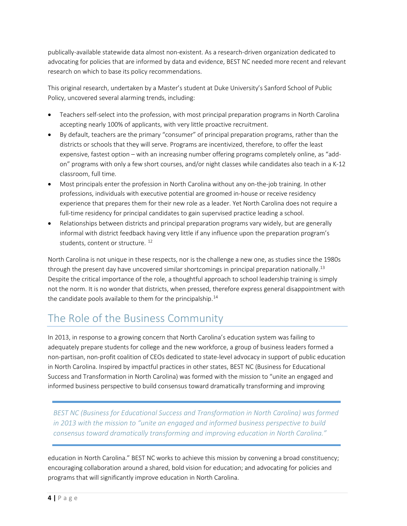publically-available statewide data almost non-existent. As a research-driven organization dedicated to advocating for policies that are informed by data and evidence, BEST NC needed more recent and relevant research on which to base its policy recommendations.

This original research, undertaken by a Master's student at Duke University's Sanford School of Public Policy, uncovered several alarming trends, including:

- Teachers self-select into the profession, with most principal preparation programs in North Carolina accepting nearly 100% of applicants, with very little proactive recruitment.
- By default, teachers are the primary "consumer" of principal preparation programs, rather than the districts or schools that they will serve. Programs are incentivized, therefore, to offer the least expensive, fastest option – with an increasing number offering programs completely online, as "addon" programs with only a few short courses, and/or night classes while candidates also teach in a K-12 classroom, full time.
- Most principals enter the profession in North Carolina without any on-the-job training. In other professions, individuals with executive potential are groomed in-house or receive residency experience that prepares them for their new role as a leader. Yet North Carolina does not require a full-time residency for principal candidates to gain supervised practice leading a school.
- Relationships between districts and principal preparation programs vary widely, but are generally informal with district feedback having very little if any influence upon the preparation program's students, content or structure.<sup>[12](#page-12-1)</sup>

North Carolina is not unique in these respects, nor is the challenge a new one, as studies since the 1980s through the present day have uncovered similar shortcomings in principal preparation nationally.<sup>[13](#page-12-2)</sup> Despite the critical importance of the role, a thoughtful approach to school leadership training is simply not the norm. It is no wonder that districts, when pressed, therefore express general disappointment with the candidate pools available to them for the principalship. $14$ 

# The Role of the Business Community

In 2013, in response to a growing concern that North Carolina's education system was failing to adequately prepare students for college and the new workforce, a group of business leaders formed a non-partisan, non-profit coalition of CEOs dedicated to state-level advocacy in support of public education in North Carolina. Inspired by impactful practices in other states, BEST NC (Business for Educational Success and Transformation in North Carolina) was formed with the mission to "unite an engaged and informed business perspective to build consensus toward dramatically transforming and improving

*BEST NC (Business for Educational Success and Transformation in North Carolina) was formed in 2013 with the mission to "unite an engaged and informed business perspective to build consensus toward dramatically transforming and improving education in North Carolina."*

education in North Carolina." BEST NC works to achieve this mission by convening a broad constituency; encouraging collaboration around a shared, bold vision for education; and advocating for policies and programs that will significantly improve education in North Carolina.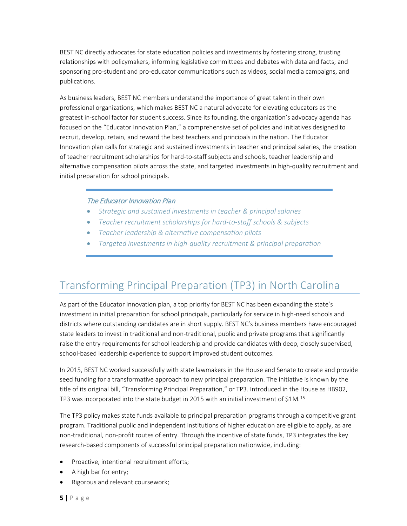BEST NC directly advocates for state education policies and investments by fostering strong, trusting relationships with policymakers; informing legislative committees and debates with data and facts; and sponsoring pro-student and pro-educator communications such as videos, social media campaigns, and publications.

As business leaders, BEST NC members understand the importance of great talent in their own professional organizations, which makes BEST NC a natural advocate for elevating educators as the greatest in-school factor for student success. Since its founding, the organization's advocacy agenda has focused on the "Educator Innovation Plan," a comprehensive set of policies and initiatives designed to recruit, develop, retain, and reward the best teachers and principals in the nation. The Educator Innovation plan calls for strategic and sustained investments in teacher and principal salaries, the creation of teacher recruitment scholarships for hard-to-staff subjects and schools, teacher leadership and alternative compensation pilots across the state, and targeted investments in high-quality recruitment and initial preparation for school principals.

#### The Educator Innovation Plan

- *Strategic and sustained investments in teacher & principal salaries*
- *Teacher recruitment scholarships for hard-to-staff schools & subjects*
- *Teacher leadership & alternative compensation pilots*
- *Targeted investments in high-quality recruitment & principal preparation*

## Transforming Principal Preparation (TP3) in North Carolina

As part of the Educator Innovation plan, a top priority for BEST NC has been expanding the state's investment in initial preparation for school principals, particularly for service in high-need schools and districts where outstanding candidates are in short supply. BEST NC's business members have encouraged state leaders to invest in traditional and non-traditional, public and private programs that significantly raise the entry requirements for school leadership and provide candidates with deep, closely supervised, school-based leadership experience to support improved student outcomes.

In 2015, BEST NC worked successfully with state lawmakers in the House and Senate to create and provide seed funding for a transformative approach to new principal preparation. The initiative is known by the title of its original bill, "Transforming Principal Preparation," or TP3. Introduced in the House as HB902, TP3 was incorporated into the state budget in 20[15](#page-12-4) with an initial investment of \$1M.<sup>15</sup>

The TP3 policy makes state funds available to principal preparation programs through a competitive grant program. Traditional public and independent institutions of higher education are eligible to apply, as are non-traditional, non-profit routes of entry. Through the incentive of state funds, TP3 integrates the key research-based components of successful principal preparation nationwide, including:

- Proactive, intentional recruitment efforts;
- A high bar for entry;
- Rigorous and relevant coursework;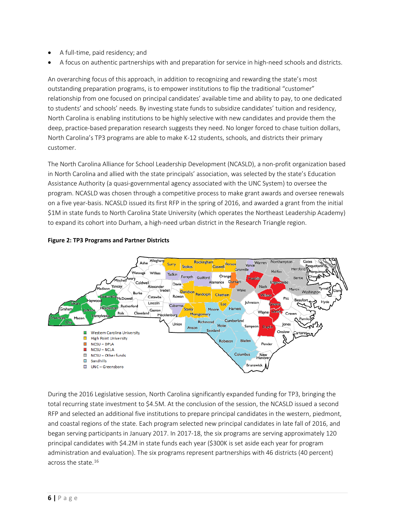- A full-time, paid residency; and
- A focus on authentic partnerships with and preparation for service in high-need schools and districts.

An overarching focus of this approach, in addition to recognizing and rewarding the state's most outstanding preparation programs, is to empower institutions to flip the traditional "customer" relationship from one focused on principal candidates' available time and ability to pay, to one dedicated to students' and schools' needs. By investing state funds to subsidize candidates' tuition and residency, North Carolina is enabling institutions to be highly selective with new candidates and provide them the deep, practice-based preparation research suggests they need. No longer forced to chase tuition dollars, North Carolina's TP3 programs are able to make K-12 students, schools, and districts their primary customer.

The North Carolina Alliance for School Leadership Development (NCASLD), a non-profit organization based in North Carolina and allied with the state principals' association, was selected by the state's Education Assistance Authority (a quasi-governmental agency associated with the UNC System) to oversee the program. NCASLD was chosen through a competitive process to make grant awards and oversee renewals on a five year-basis. NCASLD issued its first RFP in the spring of 2016, and awarded a grant from the initial \$1M in state funds to North Carolina State University (which operates the Northeast Leadership Academy) to expand its cohort into Durham, a high-need urban district in the Research Triangle region.



#### **Figure 2: TP3 Programs and Partner Districts**

During the 2016 Legislative session, North Carolina significantly expanded funding for TP3, bringing the total recurring state investment to \$4.5M. At the conclusion of the session, the NCASLD issued a second RFP and selected an additional five institutions to prepare principal candidates in the western, piedmont, and coastal regions of the state. Each program selected new principal candidates in late fall of 2016, and began serving participants in January 2017. In 2017-18, the six programs are serving approximately 120 principal candidates with \$4.2M in state funds each year (\$300K is set aside each year for program administration and evaluation). The six programs represent partnerships with 46 districts (40 percent) across the state.[16](#page-12-5)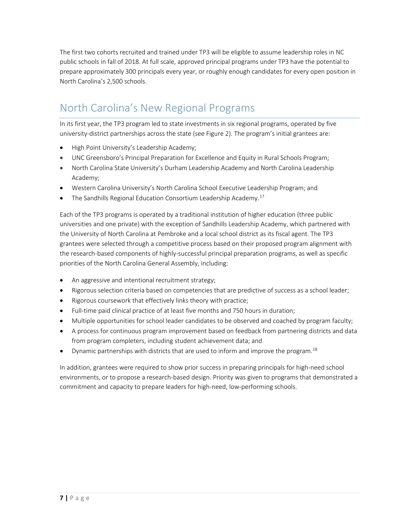The first two cohorts recruited and trained under TP3 will be eligible to assume leadership roles in NC public schools in fall of 2018. At full scale, approved principal programs under TP3 have the potential to prepare approximately 300 principals every year, or roughly enough candidates for every open position in North Carolina's 2,500 schools.

# North Carolina's New Regional Programs

In its first year, the TP3 program led to state investments in six regional programs, operated by five university-district partnerships across the state (see Figure 2). The program's initial grantees are:

- High Point University's Leadership Academy;
- UNC Greensboro's Principal Preparation for Excellence and Equity in Rural Schools Program;
- North Carolina State University's Durham Leadership Academy and North Carolina Leadership Academy;
- Western Carolina University's North Carolina School Executive Leadership Program; and
- The Sandhills Regional Education Consortium Leadership Academy.<sup>[17](#page-12-6)</sup>

Each of the TP3 programs is operated by a traditional institution of higher education (three public universities and one private) with the exception of Sandhills Leadership Academy, which partnered with the University of North Carolina at Pembroke and a local school district as its fiscal agent. The TP3 grantees were selected through a competitive process based on their proposed program alignment with the research-based components of highly-successful principal preparation programs, as well as specific priorities of the North Carolina General Assembly, including:

- An aggressive and intentional recruitment strategy;
- Rigorous selection criteria based on competencies that are predictive of success as a school leader;
- Rigorous coursework that effectively links theory with practice;
- Full-time paid clinical practice of at least five months and 750 hours in duration;
- Multiple opportunities for school leader candidates to be observed and coached by program faculty;
- A process for continuous program improvement based on feedback from partnering districts and data from program completers, including student achievement data; and
- Dynamic partnerships with districts that are used to inform and improve the program.<sup>[18](#page-12-7)</sup>

In addition, grantees were required to show prior success in preparing principals for high-need school environments, or to propose a research-based design. Priority was given to programs that demonstrated a commitment and capacity to prepare leaders for high-need, low-performing schools.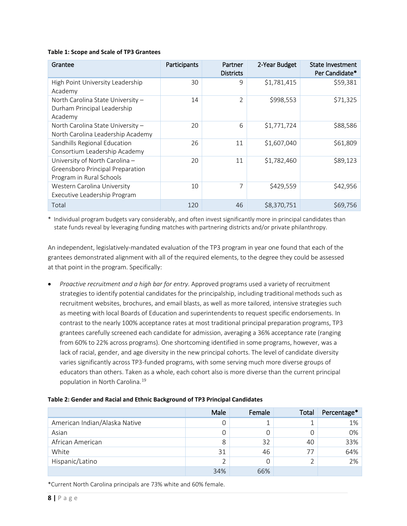#### **Table 1: Scope and Scale of TP3 Grantees**

| Grantee                                                                                        | Participants | Partner<br><b>Districts</b> | 2-Year Budget | State Investment<br>Per Candidate* |
|------------------------------------------------------------------------------------------------|--------------|-----------------------------|---------------|------------------------------------|
| High Point University Leadership<br>Academy                                                    | 30           | 9                           | \$1,781,415   | \$59,381                           |
| North Carolina State University -<br>Durham Principal Leadership<br>Academy                    | 14           | 2                           | \$998,553     | \$71,325                           |
| North Carolina State University -<br>North Carolina Leadership Academy                         | 20           | 6                           | \$1,771,724   | \$88,586                           |
| Sandhills Regional Education<br>Consortium Leadership Academy                                  | 26           | 11                          | \$1,607,040   | \$61,809                           |
| University of North Carolina -<br>Greensboro Principal Preparation<br>Program in Rural Schools | 20           | 11                          | \$1,782,460   | \$89,123                           |
| Western Carolina University<br>Executive Leadership Program                                    | 10           | 7                           | \$429,559     | \$42,956                           |
| Total                                                                                          | 120          | 46                          | \$8,370,751   | \$69,756                           |

\* Individual program budgets vary considerably, and often invest significantly more in principal candidates than state funds reveal by leveraging funding matches with partnering districts and/or private philanthropy.

An independent, legislatively-mandated evaluation of the TP3 program in year one found that each of the grantees demonstrated alignment with all of the required elements, to the degree they could be assessed at that point in the program. Specifically:

• *Proactive recruitment and a high bar for entry*. Approved programs used a variety of recruitment strategies to identify potential candidates for the principalship, including traditional methods such as recruitment websites, brochures, and email blasts, as well as more tailored, intensive strategies such as meeting with local Boards of Education and superintendents to request specific endorsements. In contrast to the nearly 100% acceptance rates at most traditional principal preparation programs, TP3 grantees carefully screened each candidate for admission, averaging a 36% acceptance rate (ranging from 60% to 22% across programs). One shortcoming identified in some programs, however, was a lack of racial, gender, and age diversity in the new principal cohorts. The level of candidate diversity varies significantly across TP3-funded programs, with some serving much more diverse groups of educators than others. Taken as a whole, each cohort also is more diverse than the current principal population in North Carolina. [19](#page-12-8)

| Table 2: Gender and Racial and Ethnic Background of TP3 Principal Candidates |  |  |
|------------------------------------------------------------------------------|--|--|
|------------------------------------------------------------------------------|--|--|

|                               | Male | Female | Total | Percentage* |
|-------------------------------|------|--------|-------|-------------|
| American Indian/Alaska Native | 0    |        |       | 1%          |
| Asian                         | 0    |        |       | 0%          |
| African American              | 8    | 32     | 40    | 33%         |
| White                         | 31   | 46     | 77    | 64%         |
| Hispanic/Latino               | 2    |        |       | 2%          |
|                               | 34%  | 66%    |       |             |

\*Current North Carolina principals are 73% white and 60% female.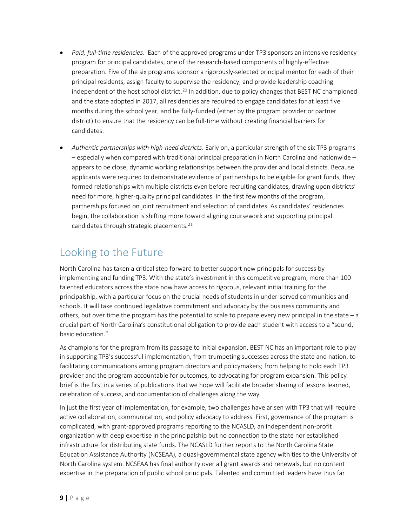- *Paid, full-time residencies*. Each of the approved programs under TP3 sponsors an intensive residency program for principal candidates, one of the research-based components of highly-effective preparation. Five of the six programs sponsor a rigorously-selected principal mentor for each of their principal residents, assign faculty to supervise the residency, and provide leadership coaching independent of the host school district.<sup>[20](#page-12-9)</sup> In addition, due to policy changes that BEST NC championed and the state adopted in 2017, all residencies are required to engage candidates for at least five months during the school year, and be fully-funded (either by the program provider or partner district) to ensure that the residency can be full-time without creating financial barriers for candidates.
- *Authentic partnerships with high-need districts*. Early on, a particular strength of the six TP3 programs – especially when compared with traditional principal preparation in North Carolina and nationwide – appears to be close, dynamic working relationships between the provider and local districts. Because applicants were required to demonstrate evidence of partnerships to be eligible for grant funds, they formed relationships with multiple districts even before recruiting candidates, drawing upon districts' need for more, higher-quality principal candidates. In the first few months of the program, partnerships focused on joint recruitment and selection of candidates. As candidates' residencies begin, the collaboration is shifting more toward aligning coursework and supporting principal candidates through strategic placements. [21](#page-12-10)

# Looking to the Future

North Carolina has taken a critical step forward to better support new principals for success by implementing and funding TP3. With the state's investment in this competitive program, more than 100 talented educators across the state now have access to rigorous, relevant initial training for the principalship, with a particular focus on the crucial needs of students in under-served communities and schools. It will take continued legislative commitment and advocacy by the business community and others, but over time the program has the potential to scale to prepare every new principal in the state – a crucial part of North Carolina's constitutional obligation to provide each student with access to a "sound, basic education."

As champions for the program from its passage to initial expansion, BEST NC has an important role to play in supporting TP3's successful implementation, from trumpeting successes across the state and nation, to facilitating communications among program directors and policymakers; from helping to hold each TP3 provider and the program accountable for outcomes, to advocating for program expansion. This policy brief is the first in a series of publications that we hope will facilitate broader sharing of lessons learned, celebration of success, and documentation of challenges along the way.

In just the first year of implementation, for example, two challenges have arisen with TP3 that will require active collaboration, communication, and policy advocacy to address. First, governance of the program is complicated, with grant-approved programs reporting to the NCASLD, an independent non-profit organization with deep expertise in the principalship but no connection to the state nor established infrastructure for distributing state funds. The NCASLD further reports to the North Carolina State Education Assistance Authority (NCSEAA), a quasi-governmental state agency with ties to the University of North Carolina system. NCSEAA has final authority over all grant awards and renewals, but no content expertise in the preparation of public school principals. Talented and committed leaders have thus far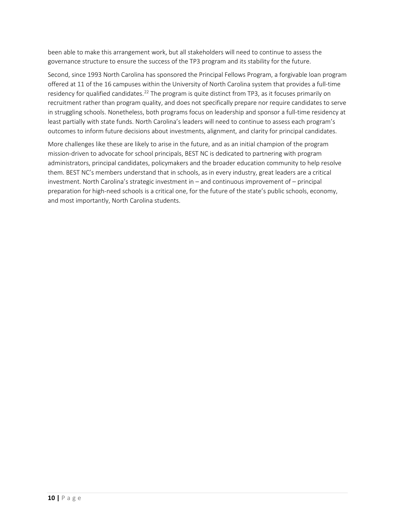been able to make this arrangement work, but all stakeholders will need to continue to assess the governance structure to ensure the success of the TP3 program and its stability for the future.

Second, since 1993 North Carolina has sponsored the Principal Fellows Program, a forgivable loan program offered at 11 of the 16 campuses within the University of North Carolina system that provides a full-time residency for qualified candidates.<sup>[22](#page-12-11)</sup> The program is quite distinct from TP3, as it focuses primarily on recruitment rather than program quality, and does not specifically prepare nor require candidates to serve in struggling schools. Nonetheless, both programs focus on leadership and sponsor a full-time residency at least partially with state funds. North Carolina's leaders will need to continue to assess each program's outcomes to inform future decisions about investments, alignment, and clarity for principal candidates.

More challenges like these are likely to arise in the future, and as an initial champion of the program mission-driven to advocate for school principals, BEST NC is dedicated to partnering with program administrators, principal candidates, policymakers and the broader education community to help resolve them. BEST NC's members understand that in schools, as in every industry, great leaders are a critical investment. North Carolina's strategic investment in – and continuous improvement of – principal preparation for high-need schools is a critical one, for the future of the state's public schools, economy, and most importantly, North Carolina students.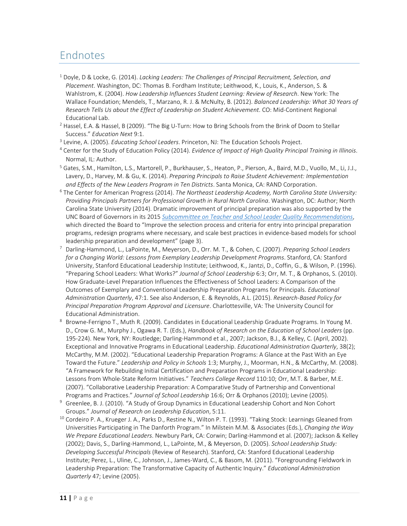## Endnotes

- <span id="page-11-0"></span><sup>1</sup> Doyle, D & Locke, G. (2014). *Lacking Leaders: The Challenges of Principal Recruitment, Selection, and Placement*. Washington, DC: Thomas B. Fordham Institute; Leithwood, K., Louis, K., Anderson, S. & Wahlstrom, K. (2004). *How Leadership Influences Student Learning: Review of Research*. New York: The Wallace Foundation; Mendels, T., Marzano, R. J. & McNulty, B. (2012). *Balanced Leadership: What 30 Years of Research Tells Us about the Effect of Leadership on Student Achievement*. CO: Mid-Continent Regional
- <span id="page-11-1"></span>Educational Lab.<br><sup>2</sup> Hassel, E.A. & Hassel, B (2009). "The Big U-Turn: How to Bring Schools from the Brink of Doom to Stellar Success." *Education Next* 9:1. 3 Levine, A. (2005). *Educating School Leaders*. Princeton, NJ: The Education Schools Project.
- <span id="page-11-2"></span>
- <span id="page-11-3"></span><sup>4</sup> Center for the Study of Education Policy (2014). *Evidence of Impact of High Quality Principal Training in Illinois*. Normal, IL: Author.
- <span id="page-11-4"></span><sup>5</sup> Gates, S.M., Hamilton, L.S., Martorell, P., Burkhauser, S., Heaton, P., Pierson, A., Baird, M.D., Vuollo, M., Li, J.J., Lavery, D., Harvey, M. & Gu, K. (2014). *Preparing Principals to Raise Student Achievement: Implementation and Effects of the New Leaders Program in Ten Districts*. Santa Monica, CA: RAND Corporation.
- <span id="page-11-5"></span><sup>6</sup> The Center for American Progress (2014). *The Northeast Leadership Academy, North Carolina State University: Providing Principals Partners for Professional Growth in Rural North Carolina*. Washington, DC: Author; North Carolina State University (2014). Dramatic improvement of principal preparation was also supported by the UNC Board of Governors in its 2015 *[Subcommittee on Teacher and School Leader Quality Recommendations](http://eqdashboard.northcarolina.edu/wp-content/uploads/2015/11/BOG-Recommendations-for-Teacher-and-School-Leader-Quality.pdf)*, which directed the Board to "Improve the selection process and criteria for entry into principal preparation programs, redesign programs where necessary, and scale best practices in evidence-based models for school leadership preparation and development" (page 3).
- <span id="page-11-6"></span>7 Darling-Hammond, L., LaPointe, M., Meyerson, D., Orr. M. T., & Cohen, C. (2007). *Preparing School Leaders for a Changing World: Lessons from Exemplary Leadership Development Programs*. Stanford, CA: Stanford University, Stanford Educational Leadership Institute; Leithwood, K., Jantzi, D., Coffin, G., & Wilson, P. (1996). "Preparing School Leaders: What Works?" *Journal of School Leadership* 6:3; Orr, M. T., & Orphanos, S. (2010). How Graduate-Level Preparation Influences the Effectiveness of School Leaders: A Comparison of the Outcomes of Exemplary and Conventional Leadership Preparation Programs for Principals. *Educational Administration Quarterly*, 47:1. See also Anderson, E. & Reynolds, A.L. (2015). *Research-Based Policy for Principal Preparation Program Approval and Licensure*. Charlottesville, VA: The University Council for Educational Administration. 8
- <span id="page-11-7"></span>8 Browne-Ferrigno T., Muth R. (2009). Candidates in Educational Leadership Graduate Programs. In Young M. D., Crow G. M., Murphy J., Ogawa R. T. (Eds.), *Handbook of Research on the Education of School Leaders* (pp. 195-224). New York, NY: Routledge; Darling-Hammond et al., 2007; Jackson, B.J., & Kelley, C. (April, 2002). Exceptional and Innovative Programs in Educational Leadership. *Educational Administration Quarterly*, 38(2); McCarthy, M.M. (2002). "Educational Leadership Preparation Programs: A Glance at the Past With an Eye Toward the Future." *Leadership and Policy in Schools* 1:3; Murphy, J., Moorman, H.N., & McCarthy, M. (2008). "A Framework for Rebuilding Initial Certification and Preparation Programs in Educational Leadership: Lessons from Whole-State Reform Initiatives." *Teachers College Record* 110:10; Orr, M.T. & Barber, M.E. (2007). "Collaborative Leadership Preparation: A Comparative Study of Partnership and Conventional Programs and Practices." *Journal of School Leadership* 16:6; Orr & Orphanos (2010); Levine (2005).
- <span id="page-11-8"></span><sup>9</sup> Greenlee, B. J. (2010). "A Study of Group Dynamics in Educational Leadership Cohort and Non Cohort Groups." *Journal of Research on Leadership Education*, 5:11.
- <span id="page-11-9"></span><sup>10</sup> Cordeiro P. A., Krueger J. A., Parks D., Restine N., Wilton P. T. (1993). "Taking Stock: Learnings Gleaned from Universities Participating in The Danforth Program." In Milstein M.M. & Associates (Eds.), *Changing the Way We Prepare Educational Leaders*. Newbury Park, CA: Corwin; Darling-Hammond et al. (2007); Jackson & Kelley (2002); Davis, S., Darling-Hammond, L., LaPointe, M., & Meyerson, D. (2005). *School Leadership Study: Developing Successful Principals* (Review of Research). Stanford, CA: Stanford Educational Leadership Institute; Perez, L., Uline, C., Johnson, J., James-Ward, C., & Basom, M. (2011). "Foregrounding Fieldwork in Leadership Preparation: The Transformative Capacity of Authentic Inquiry." *Educational Administration Quarterly* 47; Levine (2005).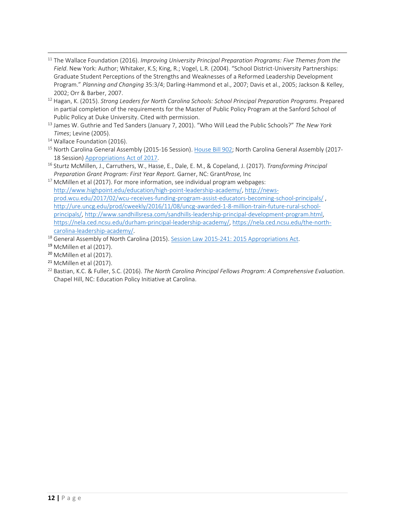- <span id="page-12-0"></span>11 The Wallace Foundation (2016). *Improving University Principal Preparation Programs: Five Themes from the Field*. New York: Author; Whitaker, K.S; King, R.; Vogel, L.R. (2004). "School District-University Partnerships: Graduate Student Perceptions of the Strengths and Weaknesses of a Reformed Leadership Development Program." *Planning and Changing* 35:3/4; Darling-Hammond et al., 2007; Davis et al., 2005; Jackson & Kelley, 2002; Orr & Barber, 2007. 12 Hagan, K. (2015). *Strong Leaders for North Carolina Schools: School Principal Preparation Programs*. Prepared
- <span id="page-12-1"></span>in partial completion of the requirements for the Master of Public Policy Program at the Sanford School of Public Policy at Duke University. Cited with permission.
- <span id="page-12-2"></span><sup>13</sup> James W. Guthrie and Ted Sanders (January 7, 2001). "Who Will Lead the Public Schools?" *The New York Times*; Levine (2005).
- <span id="page-12-3"></span><sup>14</sup> Wallace Foundation (2016).
- <span id="page-12-4"></span><sup>15</sup> North Carolina General Assembly (2015-16 Session)[. House Bill 902;](http://www.ncga.state.nc.us/gascripts/BillLookUp/BillLookUp.pl?Session=2015&BillID=H902) North Carolina General Assembly (2017-18 Session[\) Appropriations Act of 2017.](http://www.ncga.state.nc.us/gascripts/BillLookUp/BillLookUp.pl?Session=2017&BillID=S257) 16 Sturtz McMillen, J., Carruthers, W., Hasse, E., Dale, E. M., & Copeland, J. (2017). *Transforming Principal*
- <span id="page-12-5"></span>*Preparation Grant Program: First Year Report.* Garner, NC: Grant*Prose,* Inc
- <span id="page-12-6"></span> $17$  McMillen et al (2017). For more information, see individual program webpages: [http://www.highpoint.edu/education/high-point-leadership-academy/,](http://www.highpoint.edu/education/high-point-leadership-academy/) [http://news](http://news-prod.wcu.edu/2017/02/wcu-receives-funding-program-assist-educators-becoming-school-principals/)[prod.wcu.edu/2017/02/wcu-receives-funding-program-assist-educators-becoming-school-principals/](http://news-prod.wcu.edu/2017/02/wcu-receives-funding-program-assist-educators-becoming-school-principals/) , [http://ure.uncg.edu/prod/cweekly/2016/11/08/uncg-awarded-1-8-million-train-future-rural-school](http://ure.uncg.edu/prod/cweekly/2016/11/08/uncg-awarded-1-8-million-train-future-rural-school-principals/)[principals/,](http://ure.uncg.edu/prod/cweekly/2016/11/08/uncg-awarded-1-8-million-train-future-rural-school-principals/) [http://www.sandhillsresa.com/sandhills-leadership-principal-development-program.html,](http://www.sandhillsresa.com/sandhills-leadership-principal-development-program.html)  [https://nela.ced.ncsu.edu/durham-principal-leadership-academy/,](https://nela.ced.ncsu.edu/durham-principal-leadership-academy/) [https://nela.ced.ncsu.edu/the-north](https://nela.ced.ncsu.edu/the-north-carolina-leadership-academy/)[carolina-leadership-academy/.](https://nela.ced.ncsu.edu/the-north-carolina-leadership-academy/)<br><sup>18</sup> General Assembly of North Carolina (2015). Session Law 2015-241: 2015 Appropriations Act.
- 
- <span id="page-12-8"></span><span id="page-12-7"></span><sup>19</sup> McMillen et al (2017).
- <span id="page-12-9"></span><sup>20</sup> McMillen et al (2017).
- <span id="page-12-10"></span><sup>21</sup> McMillen et al (2017).
- <span id="page-12-11"></span><sup>22</sup> Bastian, K.C. & Fuller, S.C. (2016). *The North Carolina Principal Fellows Program: A Comprehensive Evaluation*. Chapel Hill, NC: Education Policy Initiative at Carolina.